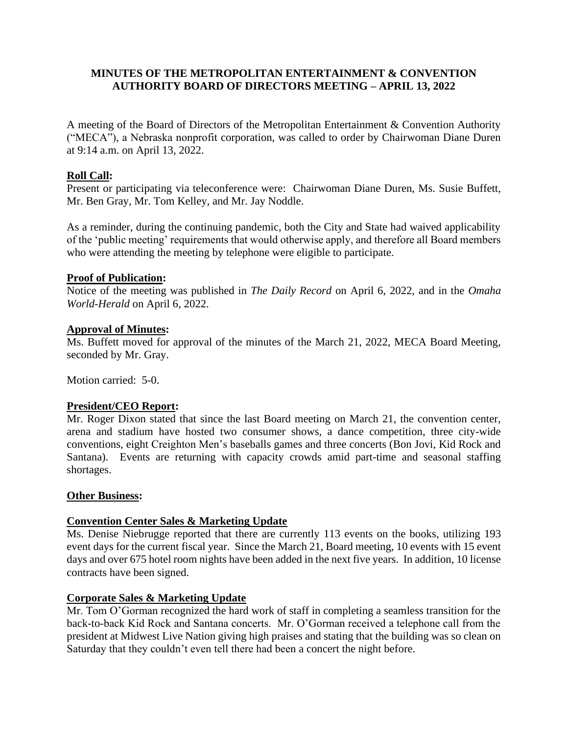# **MINUTES OF THE METROPOLITAN ENTERTAINMENT & CONVENTION AUTHORITY BOARD OF DIRECTORS MEETING – APRIL 13, 2022**

A meeting of the Board of Directors of the Metropolitan Entertainment & Convention Authority ("MECA"), a Nebraska nonprofit corporation, was called to order by Chairwoman Diane Duren at 9:14 a.m. on April 13, 2022.

# **Roll Call:**

Present or participating via teleconference were: Chairwoman Diane Duren, Ms. Susie Buffett, Mr. Ben Gray, Mr. Tom Kelley, and Mr. Jay Noddle.

As a reminder, during the continuing pandemic, both the City and State had waived applicability of the 'public meeting' requirements that would otherwise apply, and therefore all Board members who were attending the meeting by telephone were eligible to participate.

# **Proof of Publication:**

Notice of the meeting was published in *The Daily Record* on April 6, 2022, and in the *Omaha World-Herald* on April 6, 2022.

# **Approval of Minutes:**

Ms. Buffett moved for approval of the minutes of the March 21, 2022, MECA Board Meeting, seconded by Mr. Gray.

Motion carried: 5-0.

## **President/CEO Report:**

Mr. Roger Dixon stated that since the last Board meeting on March 21, the convention center, arena and stadium have hosted two consumer shows, a dance competition, three city-wide conventions, eight Creighton Men's baseballs games and three concerts (Bon Jovi, Kid Rock and Santana). Events are returning with capacity crowds amid part-time and seasonal staffing shortages.

## **Other Business:**

## **Convention Center Sales & Marketing Update**

Ms. Denise Niebrugge reported that there are currently 113 events on the books, utilizing 193 event days for the current fiscal year. Since the March 21, Board meeting, 10 events with 15 event days and over 675 hotel room nights have been added in the next five years. In addition, 10 license contracts have been signed.

## **Corporate Sales & Marketing Update**

Mr. Tom O'Gorman recognized the hard work of staff in completing a seamless transition for the back-to-back Kid Rock and Santana concerts. Mr. O'Gorman received a telephone call from the president at Midwest Live Nation giving high praises and stating that the building was so clean on Saturday that they couldn't even tell there had been a concert the night before.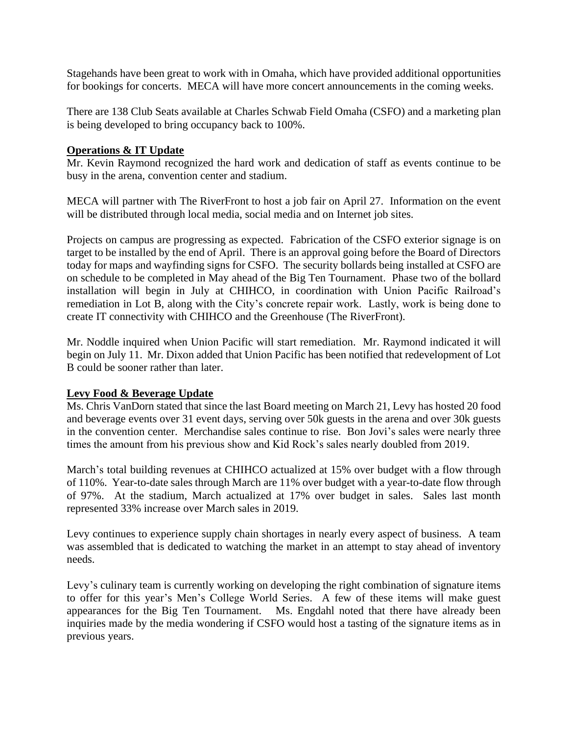Stagehands have been great to work with in Omaha, which have provided additional opportunities for bookings for concerts. MECA will have more concert announcements in the coming weeks.

There are 138 Club Seats available at Charles Schwab Field Omaha (CSFO) and a marketing plan is being developed to bring occupancy back to 100%.

## **Operations & IT Update**

Mr. Kevin Raymond recognized the hard work and dedication of staff as events continue to be busy in the arena, convention center and stadium.

MECA will partner with The RiverFront to host a job fair on April 27. Information on the event will be distributed through local media, social media and on Internet job sites.

Projects on campus are progressing as expected. Fabrication of the CSFO exterior signage is on target to be installed by the end of April. There is an approval going before the Board of Directors today for maps and wayfinding signs for CSFO. The security bollards being installed at CSFO are on schedule to be completed in May ahead of the Big Ten Tournament. Phase two of the bollard installation will begin in July at CHIHCO, in coordination with Union Pacific Railroad's remediation in Lot B, along with the City's concrete repair work. Lastly, work is being done to create IT connectivity with CHIHCO and the Greenhouse (The RiverFront).

Mr. Noddle inquired when Union Pacific will start remediation. Mr. Raymond indicated it will begin on July 11. Mr. Dixon added that Union Pacific has been notified that redevelopment of Lot B could be sooner rather than later.

## **Levy Food & Beverage Update**

Ms. Chris VanDorn stated that since the last Board meeting on March 21, Levy has hosted 20 food and beverage events over 31 event days, serving over 50k guests in the arena and over 30k guests in the convention center. Merchandise sales continue to rise. Bon Jovi's sales were nearly three times the amount from his previous show and Kid Rock's sales nearly doubled from 2019.

March's total building revenues at CHIHCO actualized at 15% over budget with a flow through of 110%. Year-to-date sales through March are 11% over budget with a year-to-date flow through of 97%. At the stadium, March actualized at 17% over budget in sales. Sales last month represented 33% increase over March sales in 2019.

Levy continues to experience supply chain shortages in nearly every aspect of business. A team was assembled that is dedicated to watching the market in an attempt to stay ahead of inventory needs.

Levy's culinary team is currently working on developing the right combination of signature items to offer for this year's Men's College World Series. A few of these items will make guest appearances for the Big Ten Tournament. Ms. Engdahl noted that there have already been inquiries made by the media wondering if CSFO would host a tasting of the signature items as in previous years.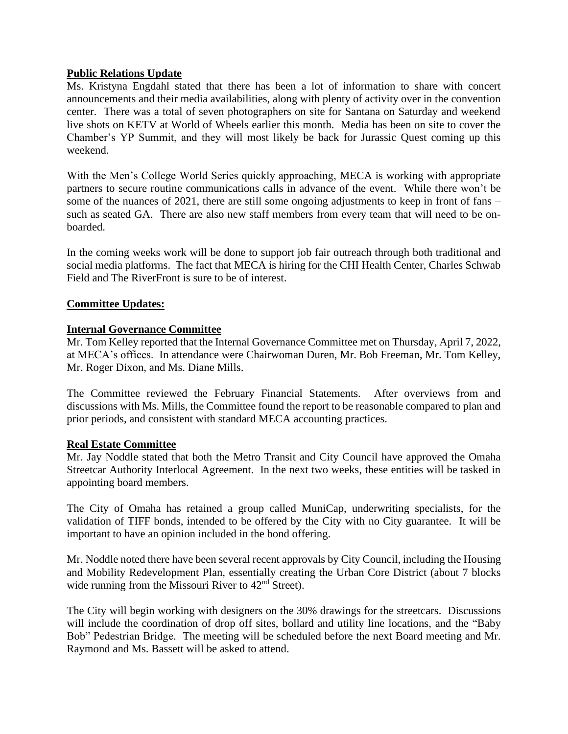## **Public Relations Update**

Ms. Kristyna Engdahl stated that there has been a lot of information to share with concert announcements and their media availabilities, along with plenty of activity over in the convention center. There was a total of seven photographers on site for Santana on Saturday and weekend live shots on KETV at World of Wheels earlier this month. Media has been on site to cover the Chamber's YP Summit, and they will most likely be back for Jurassic Quest coming up this weekend.

With the Men's College World Series quickly approaching, MECA is working with appropriate partners to secure routine communications calls in advance of the event. While there won't be some of the nuances of 2021, there are still some ongoing adjustments to keep in front of fans – such as seated GA. There are also new staff members from every team that will need to be onboarded.

In the coming weeks work will be done to support job fair outreach through both traditional and social media platforms. The fact that MECA is hiring for the CHI Health Center, Charles Schwab Field and The RiverFront is sure to be of interest.

# **Committee Updates:**

## **Internal Governance Committee**

Mr. Tom Kelley reported that the Internal Governance Committee met on Thursday, April 7, 2022, at MECA's offices. In attendance were Chairwoman Duren, Mr. Bob Freeman, Mr. Tom Kelley, Mr. Roger Dixon, and Ms. Diane Mills.

The Committee reviewed the February Financial Statements. After overviews from and discussions with Ms. Mills, the Committee found the report to be reasonable compared to plan and prior periods, and consistent with standard MECA accounting practices.

## **Real Estate Committee**

Mr. Jay Noddle stated that both the Metro Transit and City Council have approved the Omaha Streetcar Authority Interlocal Agreement. In the next two weeks, these entities will be tasked in appointing board members.

The City of Omaha has retained a group called MuniCap, underwriting specialists, for the validation of TIFF bonds, intended to be offered by the City with no City guarantee. It will be important to have an opinion included in the bond offering.

Mr. Noddle noted there have been several recent approvals by City Council, including the Housing and Mobility Redevelopment Plan, essentially creating the Urban Core District (about 7 blocks wide running from the Missouri River to  $42<sup>nd</sup>$  Street).

The City will begin working with designers on the 30% drawings for the streetcars. Discussions will include the coordination of drop off sites, bollard and utility line locations, and the "Baby Bob" Pedestrian Bridge. The meeting will be scheduled before the next Board meeting and Mr. Raymond and Ms. Bassett will be asked to attend.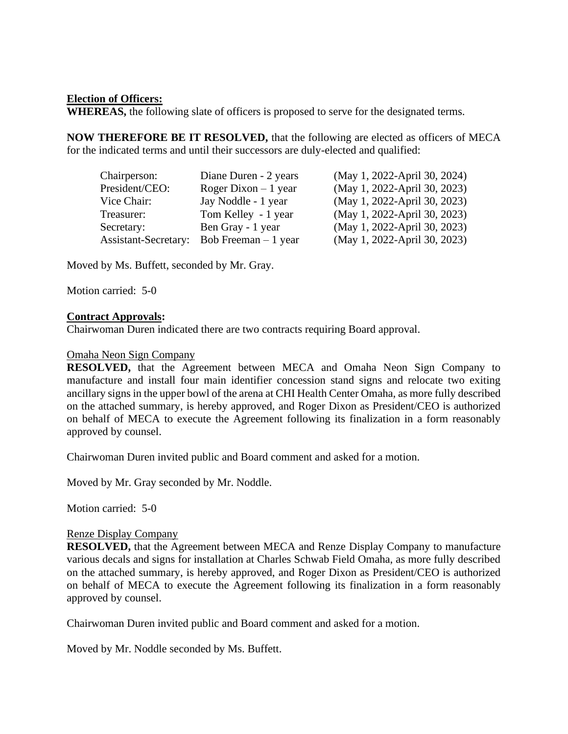## **Election of Officers:**

**WHEREAS,** the following slate of officers is proposed to serve for the designated terms.

**NOW THEREFORE BE IT RESOLVED,** that the following are elected as officers of MECA for the indicated terms and until their successors are duly-elected and qualified:

| Chairperson:                | Diane Duren - 2 years | (May 1, 2022-April 30, 2024) |
|-----------------------------|-----------------------|------------------------------|
| President/CEO:              | Roger Dixon $-1$ year | (May 1, 2022-April 30, 2023) |
| Vice Chair:                 | Jay Noddle - 1 year   | (May 1, 2022-April 30, 2023) |
| Treasurer:                  | Tom Kelley - 1 year   | (May 1, 2022-April 30, 2023) |
| Secretary:                  | Ben Gray - 1 year     | (May 1, 2022-April 30, 2023) |
| <b>Assistant-Secretary:</b> | Bob Freeman $-1$ year | (May 1, 2022-April 30, 2023) |

Moved by Ms. Buffett, seconded by Mr. Gray.

Motion carried: 5-0

#### **Contract Approvals:**

Chairwoman Duren indicated there are two contracts requiring Board approval.

#### Omaha Neon Sign Company

**RESOLVED,** that the Agreement between MECA and Omaha Neon Sign Company to manufacture and install four main identifier concession stand signs and relocate two exiting ancillary signs in the upper bowl of the arena at CHI Health Center Omaha, as more fully described on the attached summary, is hereby approved, and Roger Dixon as President/CEO is authorized on behalf of MECA to execute the Agreement following its finalization in a form reasonably approved by counsel.

Chairwoman Duren invited public and Board comment and asked for a motion.

Moved by Mr. Gray seconded by Mr. Noddle.

Motion carried: 5-0

## Renze Display Company

**RESOLVED,** that the Agreement between MECA and Renze Display Company to manufacture various decals and signs for installation at Charles Schwab Field Omaha, as more fully described on the attached summary, is hereby approved, and Roger Dixon as President/CEO is authorized on behalf of MECA to execute the Agreement following its finalization in a form reasonably approved by counsel.

Chairwoman Duren invited public and Board comment and asked for a motion.

Moved by Mr. Noddle seconded by Ms. Buffett.